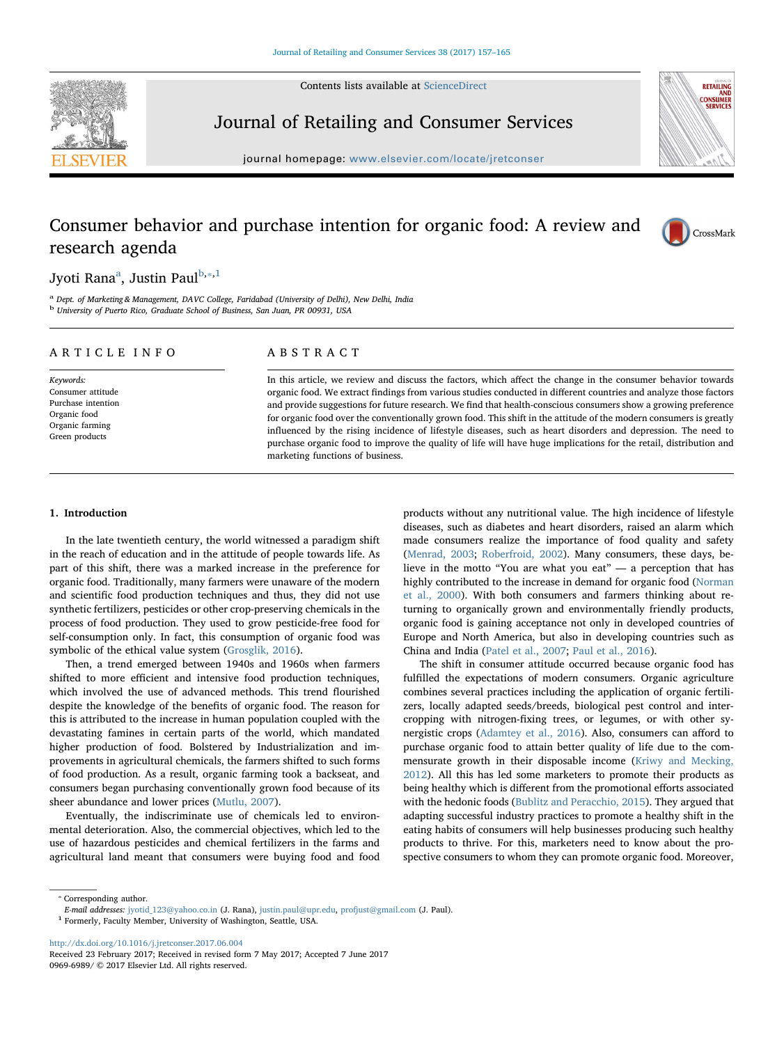Contents lists available at [ScienceDirect](http://www.sciencedirect.com/science/journal/09696989)





journal homepage: [www.elsevier.com/locate/jretconser](http://www.elsevier.com/locate/jretconser)

# Consumer behavior and purchase intention for organic food: A review and research agenda



**RETAILING CONSUMER** 

Jyoti R[a](#page-0-0)na<sup>a</sup>, Justin Paul<sup>[b](#page-0-1),</sup>\*<sup>,[1](#page-0-3)</sup>

<span id="page-0-1"></span><span id="page-0-0"></span><sup>a</sup> Dept. of Marketing & Management, DAVC College, Faridabad (University of Delhi), New Delhi, India <sup>b</sup> University of Puerto Rico, Graduate School of Business, San Juan, PR 00931, USA

## ARTICLE INFO

Keywords: Consumer attitude Purchase intention Organic food Organic farming Green products

# ABSTRACT

In this article, we review and discuss the factors, which affect the change in the consumer behavior towards organic food. We extract findings from various studies conducted in different countries and analyze those factors and provide suggestions for future research. We find that health-conscious consumers show a growing preference for organic food over the conventionally grown food. This shift in the attitude of the modern consumers is greatly influenced by the rising incidence of lifestyle diseases, such as heart disorders and depression. The need to purchase organic food to improve the quality of life will have huge implications for the retail, distribution and marketing functions of business.

# 1. Introduction

In the late twentieth century, the world witnessed a paradigm shift in the reach of education and in the attitude of people towards life. As part of this shift, there was a marked increase in the preference for organic food. Traditionally, many farmers were unaware of the modern and scientific food production techniques and thus, they did not use synthetic fertilizers, pesticides or other crop-preserving chemicals in the process of food production. They used to grow pesticide-free food for self-consumption only. In fact, this consumption of organic food was symbolic of the ethical value system ([Grosglik, 2016](#page-7-0)).

Then, a trend emerged between 1940s and 1960s when farmers shifted to more efficient and intensive food production techniques, which involved the use of advanced methods. This trend flourished despite the knowledge of the benefits of organic food. The reason for this is attributed to the increase in human population coupled with the devastating famines in certain parts of the world, which mandated higher production of food. Bolstered by Industrialization and improvements in agricultural chemicals, the farmers shifted to such forms of food production. As a result, organic farming took a backseat, and consumers began purchasing conventionally grown food because of its sheer abundance and lower prices ([Mutlu, 2007\)](#page-7-1).

Eventually, the indiscriminate use of chemicals led to environmental deterioration. Also, the commercial objectives, which led to the use of hazardous pesticides and chemical fertilizers in the farms and agricultural land meant that consumers were buying food and food

products without any nutritional value. The high incidence of lifestyle diseases, such as diabetes and heart disorders, raised an alarm which made consumers realize the importance of food quality and safety ([Menrad, 2003](#page-7-2); [Roberfroid, 2002\)](#page-7-3). Many consumers, these days, believe in the motto "You are what you eat" — a perception that has highly contributed to the increase in demand for organic food [\(Norman](#page-7-4) [et al., 2000](#page-7-4)). With both consumers and farmers thinking about returning to organically grown and environmentally friendly products, organic food is gaining acceptance not only in developed countries of Europe and North America, but also in developing countries such as China and India [\(Patel et al., 2007](#page-7-5); [Paul et al., 2016](#page-7-6)).

The shift in consumer attitude occurred because organic food has fulfilled the expectations of modern consumers. Organic agriculture combines several practices including the application of organic fertilizers, locally adapted seeds/breeds, biological pest control and intercropping with nitrogen-fixing trees, or legumes, or with other synergistic crops ([Adamtey et al., 2016](#page-6-0)). Also, consumers can afford to purchase organic food to attain better quality of life due to the commensurate growth in their disposable income ([Kriwy and Mecking,](#page-7-7) [2012\)](#page-7-7). All this has led some marketers to promote their products as being healthy which is different from the promotional efforts associated with the hedonic foods ([Bublitz and Peracchio, 2015\)](#page-6-1). They argued that adapting successful industry practices to promote a healthy shift in the eating habits of consumers will help businesses producing such healthy products to thrive. For this, marketers need to know about the prospective consumers to whom they can promote organic food. Moreover,

<span id="page-0-2"></span>⁎ Corresponding author.

<http://dx.doi.org/10.1016/j.jretconser.2017.06.004>

E-mail addresses: [jyotid\\_123@yahoo.co.in](mailto:jyotid_123@yahoo.co.in) (J. Rana), [justin.paul@upr.edu](mailto:justin.paul@upr.edu), [profjust@gmail.com](mailto:profjust@gmail.com) (J. Paul).

<span id="page-0-3"></span><sup>1</sup> Formerly, Faculty Member, University of Washington, Seattle, USA.

Received 23 February 2017; Received in revised form 7 May 2017; Accepted 7 June 2017 0969-6989/ © 2017 Elsevier Ltd. All rights reserved.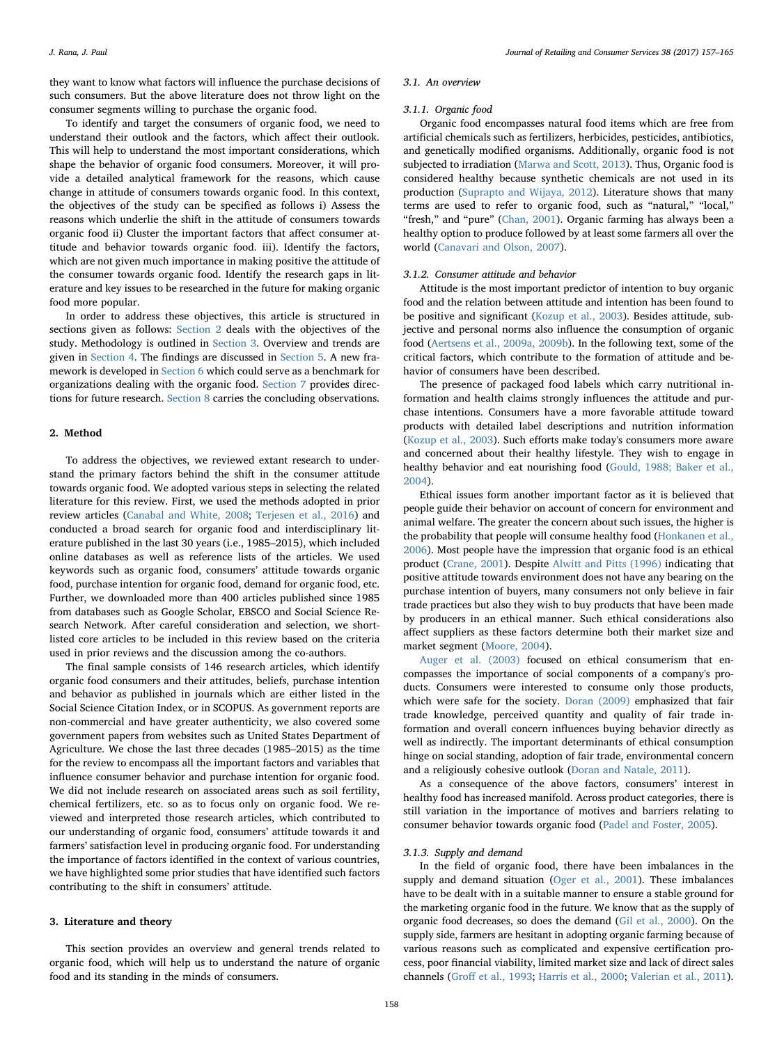they want to know what factors will influence the purchase decisions of such consumers. But the above literature does not throw light on the consumer segments willing to purchase the organic food.

To identify and target the consumers of organic food, we need to understand their outlook and the factors, which affect their outlook. This will help to understand the most important considerations, which shape the behavior of organic food consumers. Moreover, it will provide a detailed analytical framework for the reasons, which cause change in attitude of consumers towards organic food. In this context, the objectives of the study can be specified as follows i) Assess the reasons which underlie the shift in the attitude of consumers towards organic food ii) Cluster the important factors that affect consumer attitude and behavior towards organic food. iii). Identify the factors, which are not given much importance in making positive the attitude of the consumer towards organic food. Identify the research gaps in literature and key issues to be researched in the future for making organic food more popular.

In order to address these objectives, this article is structured in sections given as follows: [Section 2](#page-1-0) deals with the objectives of the study. Methodology is outlined in [Section 3.](#page-1-1) Overview and trends are given in [Section 4](#page-2-0). The findings are discussed in [Section 5.](#page-3-0) A new framework is developed in [Section 6](#page-4-0) which could serve as a benchmark for organizations dealing with the organic food. [Section 7](#page-5-0) provides directions for future research. [Section 8](#page-6-2) carries the concluding observations.

## <span id="page-1-0"></span>2. Method

To address the objectives, we reviewed extant research to understand the primary factors behind the shift in the consumer attitude towards organic food. We adopted various steps in selecting the related literature for this review. First, we used the methods adopted in prior review articles [\(Canabal and White, 2008;](#page-6-3) [Terjesen et al., 2016](#page-7-8)) and conducted a broad search for organic food and interdisciplinary literature published in the last 30 years (i.e., 1985–2015), which included online databases as well as reference lists of the articles. We used keywords such as organic food, consumers' attitude towards organic food, purchase intention for organic food, demand for organic food, etc. Further, we downloaded more than 400 articles published since 1985 from databases such as Google Scholar, EBSCO and Social Science Research Network. After careful consideration and selection, we shortlisted core articles to be included in this review based on the criteria used in prior reviews and the discussion among the co-authors.

The final sample consists of 146 research articles, which identify organic food consumers and their attitudes, beliefs, purchase intention and behavior as published in journals which are either listed in the Social Science Citation Index, or in SCOPUS. As government reports are non-commercial and have greater authenticity, we also covered some government papers from websites such as United States Department of Agriculture. We chose the last three decades (1985–2015) as the time for the review to encompass all the important factors and variables that influence consumer behavior and purchase intention for organic food. We did not include research on associated areas such as soil fertility, chemical fertilizers, etc. so as to focus only on organic food. We reviewed and interpreted those research articles, which contributed to our understanding of organic food, consumers' attitude towards it and farmers' satisfaction level in producing organic food. For understanding the importance of factors identified in the context of various countries, we have highlighted some prior studies that have identified such factors contributing to the shift in consumers' attitude.

#### <span id="page-1-1"></span>3. Literature and theory

This section provides an overview and general trends related to organic food, which will help us to understand the nature of organic food and its standing in the minds of consumers.

#### 3.1. An overview

## 3.1.1. Organic food

Organic food encompasses natural food items which are free from artificial chemicals such as fertilizers, herbicides, pesticides, antibiotics, and genetically modified organisms. Additionally, organic food is not subjected to irradiation ([Marwa and Scott, 2013](#page-7-9)). Thus, Organic food is considered healthy because synthetic chemicals are not used in its production [\(Suprapto and Wijaya, 2012](#page-7-10)). Literature shows that many terms are used to refer to organic food, such as "natural," "local," "fresh," and "pure" [\(Chan, 2001\)](#page-6-4). Organic farming has always been a healthy option to produce followed by at least some farmers all over the world ([Canavari and Olson, 2007\)](#page-6-5).

#### 3.1.2. Consumer attitude and behavior

Attitude is the most important predictor of intention to buy organic food and the relation between attitude and intention has been found to be positive and significant [\(Kozup et al., 2003](#page-7-11)). Besides attitude, subjective and personal norms also influence the consumption of organic food ([Aertsens et al., 2009a, 2009b\)](#page-6-6). In the following text, some of the critical factors, which contribute to the formation of attitude and behavior of consumers have been described.

The presence of packaged food labels which carry nutritional information and health claims strongly influences the attitude and purchase intentions. Consumers have a more favorable attitude toward products with detailed label descriptions and nutrition information ([Kozup et al., 2003\)](#page-7-11). Such efforts make today's consumers more aware and concerned about their healthy lifestyle. They wish to engage in healthy behavior and eat nourishing food ([Gould, 1988; Baker et al.,](#page-6-7) [2004\)](#page-6-7).

Ethical issues form another important factor as it is believed that people guide their behavior on account of concern for environment and animal welfare. The greater the concern about such issues, the higher is the probability that people will consume healthy food [\(Honkanen et al.,](#page-7-12) [2006\)](#page-7-12). Most people have the impression that organic food is an ethical product ([Crane, 2001](#page-6-8)). Despite [Alwitt and Pitts \(1996\)](#page-6-9) indicating that positive attitude towards environment does not have any bearing on the purchase intention of buyers, many consumers not only believe in fair trade practices but also they wish to buy products that have been made by producers in an ethical manner. Such ethical considerations also affect suppliers as these factors determine both their market size and market segment ([Moore, 2004](#page-7-13)).

[Auger et al. \(2003\)](#page-6-10) focused on ethical consumerism that encompasses the importance of social components of a company's products. Consumers were interested to consume only those products, which were safe for the society. Doran [\(2009\)](#page-6-11) emphasized that fair trade knowledge, perceived quantity and quality of fair trade information and overall concern influences buying behavior directly as well as indirectly. The important determinants of ethical consumption hinge on social standing, adoption of fair trade, environmental concern and a religiously cohesive outlook [\(Doran and Natale, 2011\)](#page-6-12).

As a consequence of the above factors, consumers' interest in healthy food has increased manifold. Across product categories, there is still variation in the importance of motives and barriers relating to consumer behavior towards organic food [\(Padel and Foster, 2005](#page-7-14)).

## 3.1.3. Supply and demand

In the field of organic food, there have been imbalances in the supply and demand situation ([Oger et al., 2001\)](#page-7-15). These imbalances have to be dealt with in a suitable manner to ensure a stable ground for the marketing organic food in the future. We know that as the supply of organic food decreases, so does the demand ([Gil et al., 2000](#page-6-13)). On the supply side, farmers are hesitant in adopting organic farming because of various reasons such as complicated and expensive certification process, poor financial viability, limited market size and lack of direct sales channels (Groff [et al., 1993;](#page-7-16) [Harris et al., 2000;](#page-7-17) [Valerian et al., 2011](#page-8-0)).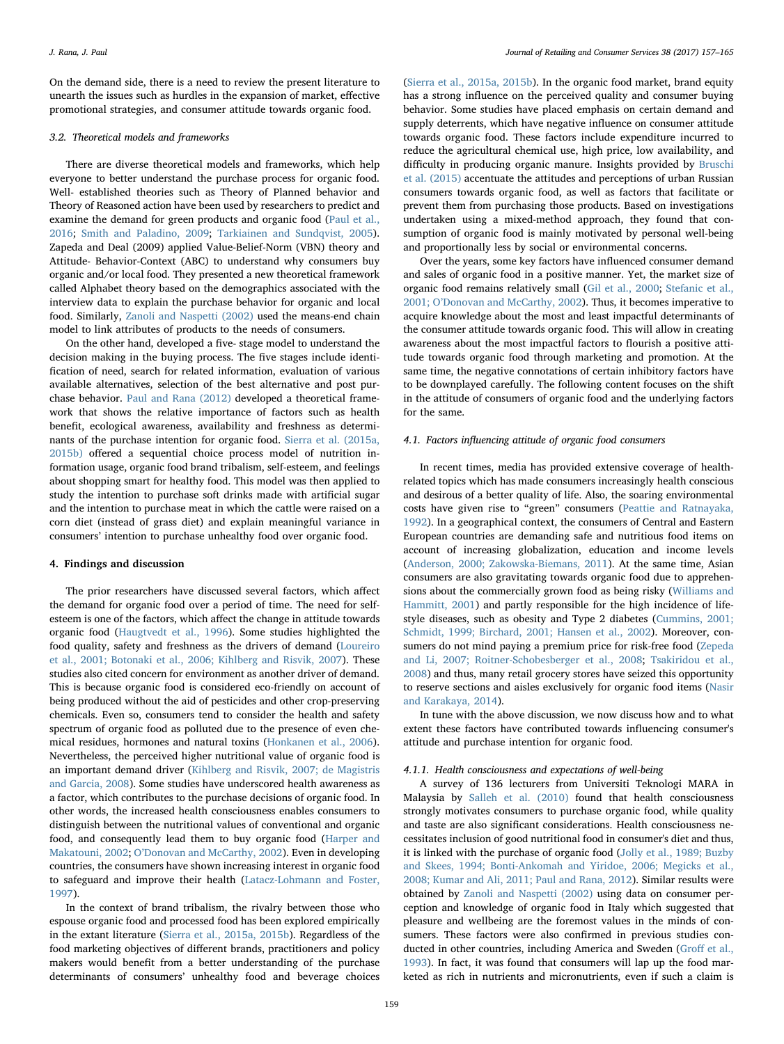On the demand side, there is a need to review the present literature to unearth the issues such as hurdles in the expansion of market, effective promotional strategies, and consumer attitude towards organic food.

#### 3.2. Theoretical models and frameworks

There are diverse theoretical models and frameworks, which help everyone to better understand the purchase process for organic food. Well- established theories such as Theory of Planned behavior and Theory of Reasoned action have been used by researchers to predict and examine the demand for green products and organic food [\(Paul et al.,](#page-7-6) [2016;](#page-7-6) [Smith and Paladino, 2009;](#page-7-18) [Tarkiainen and Sundqvist, 2005](#page-7-19)). Zapeda and Deal (2009) applied Value-Belief-Norm (VBN) theory and Attitude- Behavior-Context (ABC) to understand why consumers buy organic and/or local food. They presented a new theoretical framework called Alphabet theory based on the demographics associated with the interview data to explain the purchase behavior for organic and local food. Similarly, [Zanoli and Naspetti \(2002\)](#page-8-1) used the means-end chain model to link attributes of products to the needs of consumers.

On the other hand, developed a five- stage model to understand the decision making in the buying process. The five stages include identification of need, search for related information, evaluation of various available alternatives, selection of the best alternative and post purchase behavior. [Paul and Rana \(2012\)](#page-7-20) developed a theoretical framework that shows the relative importance of factors such as health benefit, ecological awareness, availability and freshness as determinants of the purchase intention for organic food. [Sierra et al. \(2015a,](#page-7-21) [2015b\)](#page-7-21) offered a sequential choice process model of nutrition information usage, organic food brand tribalism, self-esteem, and feelings about shopping smart for healthy food. This model was then applied to study the intention to purchase soft drinks made with artificial sugar and the intention to purchase meat in which the cattle were raised on a corn diet (instead of grass diet) and explain meaningful variance in consumers' intention to purchase unhealthy food over organic food.

## <span id="page-2-0"></span>4. Findings and discussion

The prior researchers have discussed several factors, which affect the demand for organic food over a period of time. The need for selfesteem is one of the factors, which affect the change in attitude towards organic food [\(Haugtvedt et al., 1996](#page-7-22)). Some studies highlighted the food quality, safety and freshness as the drivers of demand ([Loureiro](#page-7-23) [et al., 2001; Botonaki et al., 2006; Kihlberg and Risvik, 2007](#page-7-23)). These studies also cited concern for environment as another driver of demand. This is because organic food is considered eco-friendly on account of being produced without the aid of pesticides and other crop-preserving chemicals. Even so, consumers tend to consider the health and safety spectrum of organic food as polluted due to the presence of even chemical residues, hormones and natural toxins [\(Honkanen et al., 2006](#page-7-12)). Nevertheless, the perceived higher nutritional value of organic food is an important demand driver ([Kihlberg and Risvik, 2007; de Magistris](#page-7-24) [and Garcia, 2008](#page-7-24)). Some studies have underscored health awareness as a factor, which contributes to the purchase decisions of organic food. In other words, the increased health consciousness enables consumers to distinguish between the nutritional values of conventional and organic food, and consequently lead them to buy organic food [\(Harper and](#page-7-25) [Makatouni, 2002;](#page-7-25) O'[Donovan and McCarthy, 2002\)](#page-6-14). Even in developing countries, the consumers have shown increasing interest in organic food to safeguard and improve their health [\(Latacz-Lohmann and Foster,](#page-7-26) [1997\)](#page-7-26).

In the context of brand tribalism, the rivalry between those who espouse organic food and processed food has been explored empirically in the extant literature [\(Sierra et al., 2015a, 2015b\)](#page-7-21). Regardless of the food marketing objectives of different brands, practitioners and policy makers would benefit from a better understanding of the purchase determinants of consumers' unhealthy food and beverage choices

([Sierra et al., 2015a, 2015b\)](#page-7-21). In the organic food market, brand equity has a strong influence on the perceived quality and consumer buying behavior. Some studies have placed emphasis on certain demand and supply deterrents, which have negative influence on consumer attitude towards organic food. These factors include expenditure incurred to reduce the agricultural chemical use, high price, low availability, and difficulty in producing organic manure. Insights provided by [Bruschi](#page-6-15) [et al. \(2015\)](#page-6-15) accentuate the attitudes and perceptions of urban Russian consumers towards organic food, as well as factors that facilitate or prevent them from purchasing those products. Based on investigations undertaken using a mixed-method approach, they found that consumption of organic food is mainly motivated by personal well-being and proportionally less by social or environmental concerns.

Over the years, some key factors have influenced consumer demand and sales of organic food in a positive manner. Yet, the market size of organic food remains relatively small [\(Gil et al., 2000;](#page-6-13) [Stefanic et al.,](#page-7-27) 2001; O'[Donovan and McCarthy, 2002](#page-7-27)). Thus, it becomes imperative to acquire knowledge about the most and least impactful determinants of the consumer attitude towards organic food. This will allow in creating awareness about the most impactful factors to flourish a positive attitude towards organic food through marketing and promotion. At the same time, the negative connotations of certain inhibitory factors have to be downplayed carefully. The following content focuses on the shift in the attitude of consumers of organic food and the underlying factors for the same.

# 4.1. Factors influencing attitude of organic food consumers

In recent times, media has provided extensive coverage of healthrelated topics which has made consumers increasingly health conscious and desirous of a better quality of life. Also, the soaring environmental costs have given rise to "green" consumers [\(Peattie and Ratnayaka,](#page-7-28) [1992\)](#page-7-28). In a geographical context, the consumers of Central and Eastern European countries are demanding safe and nutritious food items on account of increasing globalization, education and income levels ([Anderson, 2000; Zakowska-Biemans, 2011](#page-6-16)). At the same time, Asian consumers are also gravitating towards organic food due to apprehensions about the commercially grown food as being risky [\(Williams and](#page-8-2) [Hammitt, 2001](#page-8-2)) and partly responsible for the high incidence of lifestyle diseases, such as obesity and Type 2 diabetes ([Cummins, 2001;](#page-6-17) [Schmidt, 1999; Birchard, 2001; Hansen et al., 2002\)](#page-6-17). Moreover, consumers do not mind paying a premium price for risk-free food [\(Zepeda](#page-8-3) [and Li, 2007; Roitner-Schobesberger et al., 2008](#page-8-3); [Tsakiridou et al.,](#page-8-4) [2008\)](#page-8-4) and thus, many retail grocery stores have seized this opportunity to reserve sections and aisles exclusively for organic food items [\(Nasir](#page-7-29) [and Karakaya, 2014](#page-7-29)).

In tune with the above discussion, we now discuss how and to what extent these factors have contributed towards influencing consumer's attitude and purchase intention for organic food.

# 4.1.1. Health consciousness and expectations of well-being

A survey of 136 lecturers from Universiti Teknologi MARA in Malaysia by [Salleh et al. \(2010\)](#page-7-30) found that health consciousness strongly motivates consumers to purchase organic food, while quality and taste are also significant considerations. Health consciousness necessitates inclusion of good nutritional food in consumer's diet and thus, it is linked with the purchase of organic food ([Jolly et al., 1989; Buzby](#page-7-31) [and Skees, 1994; Bonti-Ankomah and Yiridoe, 2006; Megicks et al.,](#page-7-31) [2008; Kumar and Ali, 2011; Paul and Rana, 2012](#page-7-31)). Similar results were obtained by [Zanoli and Naspetti \(2002\)](#page-8-1) using data on consumer perception and knowledge of organic food in Italy which suggested that pleasure and wellbeing are the foremost values in the minds of consumers. These factors were also confirmed in previous studies conducted in other countries, including America and Sweden (Groff [et al.,](#page-7-16) [1993\)](#page-7-16). In fact, it was found that consumers will lap up the food marketed as rich in nutrients and micronutrients, even if such a claim is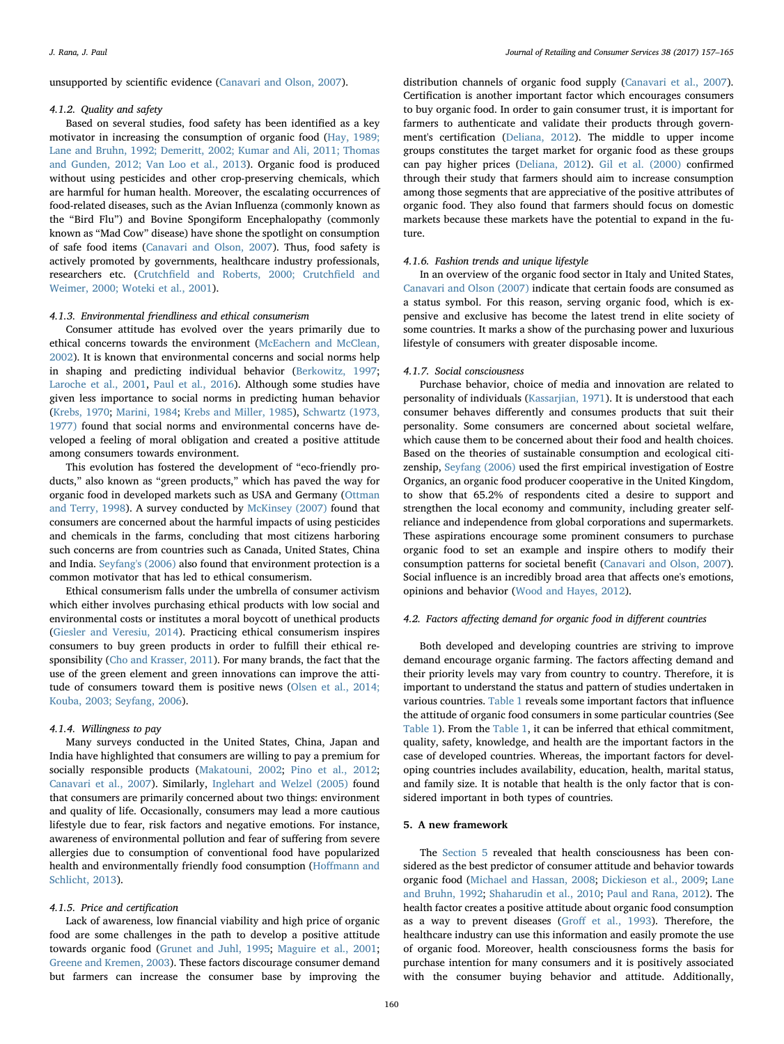unsupported by scientific evidence ([Canavari and Olson, 2007\)](#page-6-5).

#### 4.1.2. Quality and safety

Based on several studies, food safety has been identified as a key motivator in increasing the consumption of organic food ([Hay, 1989;](#page-7-32) [Lane and Bruhn, 1992; Demeritt, 2002; Kumar and Ali, 2011; Thomas](#page-7-32) [and Gunden, 2012; Van Loo et al., 2013](#page-7-32)). Organic food is produced without using pesticides and other crop-preserving chemicals, which are harmful for human health. Moreover, the escalating occurrences of food-related diseases, such as the Avian Influenza (commonly known as the "Bird Flu") and Bovine Spongiform Encephalopathy (commonly known as "Mad Cow" disease) have shone the spotlight on consumption of safe food items ([Canavari and Olson, 2007](#page-6-5)). Thus, food safety is actively promoted by governments, healthcare industry professionals, researchers etc. (Crutchfi[eld and Roberts, 2000; Crutch](#page-6-18)field and [Weimer, 2000; Woteki et al., 2001](#page-6-18)).

## 4.1.3. Environmental friendliness and ethical consumerism

Consumer attitude has evolved over the years primarily due to ethical concerns towards the environment ([McEachern and McClean,](#page-7-33) [2002\)](#page-7-33). It is known that environmental concerns and social norms help in shaping and predicting individual behavior [\(Berkowitz, 1997](#page-6-19); [Laroche et al., 2001](#page-7-34), [Paul et al., 2016\)](#page-7-6). Although some studies have given less importance to social norms in predicting human behavior ([Krebs, 1970](#page-7-35); [Marini, 1984;](#page-7-36) [Krebs and Miller, 1985](#page-7-37)), [Schwartz \(1973,](#page-7-38) [1977\)](#page-7-38) found that social norms and environmental concerns have developed a feeling of moral obligation and created a positive attitude among consumers towards environment.

This evolution has fostered the development of "eco-friendly products," also known as "green products," which has paved the way for organic food in developed markets such as USA and Germany [\(Ottman](#page-7-39) [and Terry, 1998](#page-7-39)). A survey conducted by [McKinsey \(2007\)](#page-7-40) found that consumers are concerned about the harmful impacts of using pesticides and chemicals in the farms, concluding that most citizens harboring such concerns are from countries such as Canada, United States, China and India. [Seyfang's \(2006\)](#page-7-41) also found that environment protection is a common motivator that has led to ethical consumerism.

Ethical consumerism falls under the umbrella of consumer activism which either involves purchasing ethical products with low social and environmental costs or institutes a moral boycott of unethical products ([Giesler and Veresiu, 2014\)](#page-6-20). Practicing ethical consumerism inspires consumers to buy green products in order to fulfill their ethical responsibility [\(Cho and Krasser, 2011](#page-6-21)). For many brands, the fact that the use of the green element and green innovations can improve the attitude of consumers toward them is positive news [\(Olsen et al., 2014;](#page-7-42) [Kouba, 2003; Seyfang, 2006](#page-7-42)).

#### 4.1.4. Willingness to pay

Many surveys conducted in the United States, China, Japan and India have highlighted that consumers are willing to pay a premium for socially responsible products ([Makatouni, 2002](#page-7-43); [Pino et al., 2012](#page-7-44); [Canavari et al., 2007](#page-6-22)). Similarly, [Inglehart and Welzel \(2005\)](#page-7-45) found that consumers are primarily concerned about two things: environment and quality of life. Occasionally, consumers may lead a more cautious lifestyle due to fear, risk factors and negative emotions. For instance, awareness of environmental pollution and fear of suffering from severe allergies due to consumption of conventional food have popularized health and environmentally friendly food consumption (Hoff[mann and](#page-7-46) [Schlicht, 2013\)](#page-7-46).

#### 4.1.5. Price and certification

Lack of awareness, low financial viability and high price of organic food are some challenges in the path to develop a positive attitude towards organic food ([Grunet and Juhl, 1995](#page-7-47); [Maguire et al., 2001](#page-7-48); [Greene and Kremen, 2003](#page-6-23)). These factors discourage consumer demand but farmers can increase the consumer base by improving the

distribution channels of organic food supply [\(Canavari et al., 2007](#page-6-22)). Certification is another important factor which encourages consumers to buy organic food. In order to gain consumer trust, it is important for farmers to authenticate and validate their products through government's certification ([Deliana, 2012\)](#page-6-24). The middle to upper income groups constitutes the target market for organic food as these groups can pay higher prices ([Deliana, 2012](#page-6-24)). [Gil et al. \(2000\)](#page-6-13) confirmed through their study that farmers should aim to increase consumption among those segments that are appreciative of the positive attributes of organic food. They also found that farmers should focus on domestic markets because these markets have the potential to expand in the future.

# 4.1.6. Fashion trends and unique lifestyle

In an overview of the organic food sector in Italy and United States, [Canavari and Olson \(2007\)](#page-6-5) indicate that certain foods are consumed as a status symbol. For this reason, serving organic food, which is expensive and exclusive has become the latest trend in elite society of some countries. It marks a show of the purchasing power and luxurious lifestyle of consumers with greater disposable income.

#### 4.1.7. Social consciousness

Purchase behavior, choice of media and innovation are related to personality of individuals ([Kassarjian, 1971](#page-7-49)). It is understood that each consumer behaves differently and consumes products that suit their personality. Some consumers are concerned about societal welfare, which cause them to be concerned about their food and health choices. Based on the theories of sustainable consumption and ecological citizenship, [Seyfang \(2006\)](#page-7-41) used the first empirical investigation of Eostre Organics, an organic food producer cooperative in the United Kingdom, to show that 65.2% of respondents cited a desire to support and strengthen the local economy and community, including greater selfreliance and independence from global corporations and supermarkets. These aspirations encourage some prominent consumers to purchase organic food to set an example and inspire others to modify their consumption patterns for societal benefit (Canavari [and Olson, 2007](#page-6-5)). Social influence is an incredibly broad area that affects one's emotions, opinions and behavior ([Wood and Hayes, 2012\)](#page-8-5).

#### 4.2. Factors affecting demand for organic food in different countries

Both developed and developing countries are striving to improve demand encourage organic farming. The factors affecting demand and their priority levels may vary from country to country. Therefore, it is important to understand the status and pattern of studies undertaken in various countries. [Table 1](#page-4-1) reveals some important factors that influence the attitude of organic food consumers in some particular countries (See [Table 1\)](#page-4-1). From the [Table 1,](#page-4-1) it can be inferred that ethical commitment, quality, safety, knowledge, and health are the important factors in the case of developed countries. Whereas, the important factors for developing countries includes availability, education, health, marital status, and family size. It is notable that health is the only factor that is considered important in both types of countries.

# <span id="page-3-0"></span>5. A new framework

The [Section 5](#page-3-0) revealed that health consciousness has been considered as the best predictor of consumer attitude and behavior towards organic food ([Michael and Hassan, 2008](#page-7-50); [Dickieson et al., 2009;](#page-6-25) [Lane](#page-7-51) [and Bruhn, 1992](#page-7-51); [Shaharudin et al., 2010](#page-7-52); [Paul and Rana, 2012](#page-7-20)). The health factor creates a positive attitude about organic food consumption as a way to prevent diseases (Groff [et al., 1993](#page-7-16)). Therefore, the healthcare industry can use this information and easily promote the use of organic food. Moreover, health consciousness forms the basis for purchase intention for many consumers and it is positively associated with the consumer buying behavior and attitude. Additionally,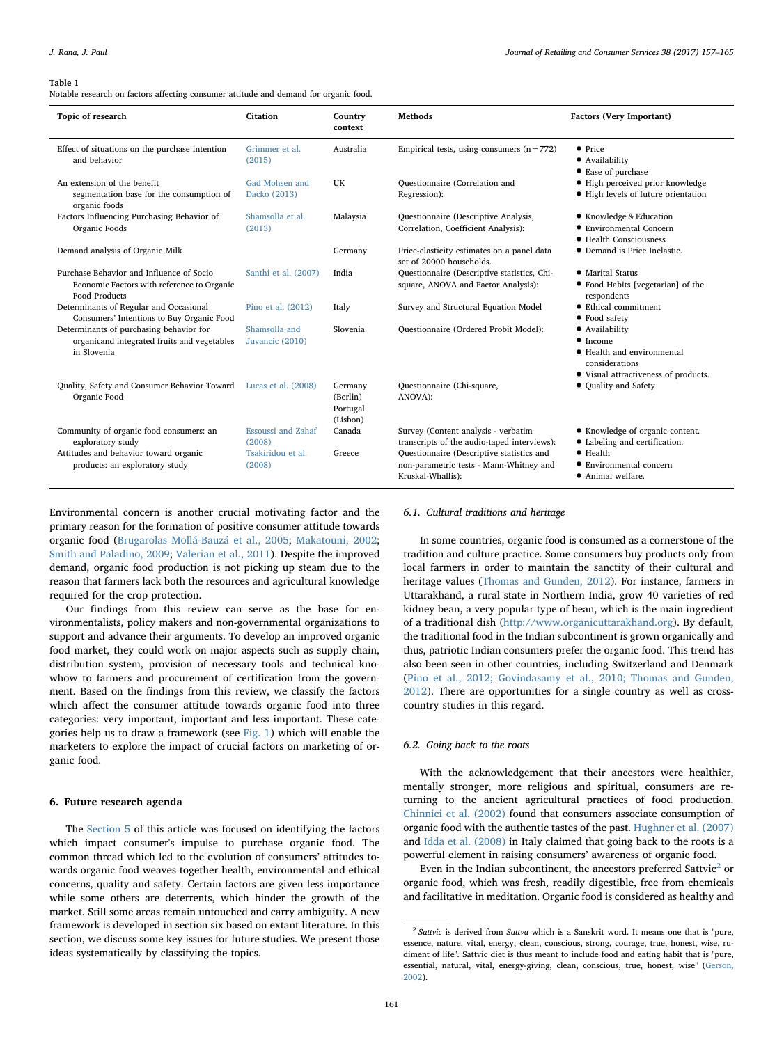#### <span id="page-4-1"></span>Table 1

Notable research on factors affecting consumer attitude and demand for organic food.

| Citation                                                           | Country<br>context              | Methods                                                                                                                                                                    | <b>Factors (Very Important)</b>                                                                                                      |
|--------------------------------------------------------------------|---------------------------------|----------------------------------------------------------------------------------------------------------------------------------------------------------------------------|--------------------------------------------------------------------------------------------------------------------------------------|
| Grimmer et al.<br>(2015)                                           | Australia                       | Empirical tests, using consumers $(n=772)$                                                                                                                                 | $\bullet$ Price<br>• Availability<br>• Ease of purchase                                                                              |
| Gad Mohsen and<br>Dacko (2013)                                     | UK                              | Questionnaire (Correlation and<br>Regression):                                                                                                                             | • High perceived prior knowledge<br>• High levels of future orientation                                                              |
| Shamsolla et al.<br>(2013)                                         | Malaysia                        | Questionnaire (Descriptive Analysis,<br>Correlation, Coefficient Analysis):                                                                                                | • Knowledge & Education<br>• Environmental Concern<br>• Health Consciousness                                                         |
|                                                                    | Germany                         | Price-elasticity estimates on a panel data<br>set of 20000 households.                                                                                                     | • Demand is Price Inelastic.                                                                                                         |
| Santhi et al. (2007)                                               | India                           | Questionnaire (Descriptive statistics, Chi-<br>square, ANOVA and Factor Analysis):                                                                                         | • Marital Status<br>• Food Habits [vegetarian] of the<br>respondents                                                                 |
| Pino et al. (2012)                                                 | Italy                           | Survey and Structural Equation Model                                                                                                                                       | • Ethical commitment<br>• Food safety                                                                                                |
| Shamsolla and<br>Juvancic (2010)                                   | Slovenia                        | Ouestionnaire (Ordered Probit Model):                                                                                                                                      | • Availability<br>$•$ Income<br>• Health and environmental<br>considerations<br>• Visual attractiveness of products.                 |
| Lucas et al. (2008)                                                | Germany<br>(Berlin)<br>Portugal | Questionnaire (Chi-square,<br>ANOVA):                                                                                                                                      | • Quality and Safety                                                                                                                 |
| <b>Essoussi and Zahaf</b><br>(2008)<br>Tsakiridou et al.<br>(2008) | Canada<br>Greece                | Survey (Content analysis - verbatim<br>transcripts of the audio-taped interviews):<br>Questionnaire (Descriptive statistics and<br>non-parametric tests - Mann-Whitney and | • Knowledge of organic content.<br>• Labeling and certification.<br>$\bullet$ Health<br>• Environmental concern<br>• Animal welfare. |
|                                                                    |                                 | (Lisbon)                                                                                                                                                                   | Kruskal-Whallis):                                                                                                                    |

Environmental concern is another crucial motivating factor and the primary reason for the formation of positive consumer attitude towards organic food [\(Brugarolas Mollá-Bauzá et al., 2005;](#page-6-26) [Makatouni, 2002](#page-7-43); [Smith and Paladino, 2009](#page-7-18); [Valerian et al., 2011\)](#page-8-0). Despite the improved demand, organic food production is not picking up steam due to the reason that farmers lack both the resources and agricultural knowledge required for the crop protection.

Our findings from this review can serve as the base for environmentalists, policy makers and non-governmental organizations to support and advance their arguments. To develop an improved organic food market, they could work on major aspects such as supply chain, distribution system, provision of necessary tools and technical knowhow to farmers and procurement of certification from the government. Based on the findings from this review, we classify the factors which affect the consumer attitude towards organic food into three categories: very important, important and less important. These categories help us to draw a framework (see [Fig. 1](#page-5-1)) which will enable the marketers to explore the impact of crucial factors on marketing of organic food.

#### <span id="page-4-0"></span>6. Future research agenda

The [Section 5](#page-3-0) of this article was focused on identifying the factors which impact consumer's impulse to purchase organic food. The common thread which led to the evolution of consumers' attitudes towards organic food weaves together health, environmental and ethical concerns, quality and safety. Certain factors are given less importance while some others are deterrents, which hinder the growth of the market. Still some areas remain untouched and carry ambiguity. A new framework is developed in section six based on extant literature. In this section, we discuss some key issues for future studies. We present those ideas systematically by classifying the topics.

#### 6.1. Cultural traditions and heritage

In some countries, organic food is consumed as a cornerstone of the tradition and culture practice. Some consumers buy products only from local farmers in order to maintain the sanctity of their cultural and heritage values ([Thomas and Gunden, 2012\)](#page-8-6). For instance, farmers in Uttarakhand, a rural state in Northern India, grow 40 varieties of red kidney bean, a very popular type of bean, which is the main ingredient of a traditional dish (<http://www.organicuttarakhand.org>). By default, the traditional food in the Indian subcontinent is grown organically and thus, patriotic Indian consumers prefer the organic food. This trend has also been seen in other countries, including Switzerland and Denmark ([Pino et al., 2012; Govindasamy et al., 2010; Thomas and Gunden,](#page-7-44) [2012\)](#page-7-44). There are opportunities for a single country as well as crosscountry studies in this regard.

#### 6.2. Going back to the roots

With the acknowledgement that their ancestors were healthier, mentally stronger, more religious and spiritual, consumers are returning to the ancient agricultural practices of food production. [Chinnici et al. \(2002\)](#page-6-14) found that consumers associate consumption of organic food with the authentic tastes of the past. [Hughner et al. \(2007\)](#page-7-53) and [Idda et al. \(2008\)](#page-7-54) in Italy claimed that going back to the roots is a powerful element in raising consumers' awareness of organic food.

Even in the Indian subcontinent, the ancestors preferred Sattvic<sup>[2](#page-4-2)</sup> or organic food, which was fresh, readily digestible, free from chemicals and facilitative in meditation. Organic food is considered as healthy and

<span id="page-4-2"></span> $2$  Sattvic is derived from Sattva which is a Sanskrit word. It means one that is "pure, essence, nature, vital, energy, clean, conscious, strong, courage, true, honest, wise, rudiment of life". Sattvic diet is thus meant to include food and eating habit that is "pure, essential, natural, vital, energy-giving, clean, conscious, true, honest, wise" [\(Gerson,](#page-6-29) [2002\)](#page-6-29).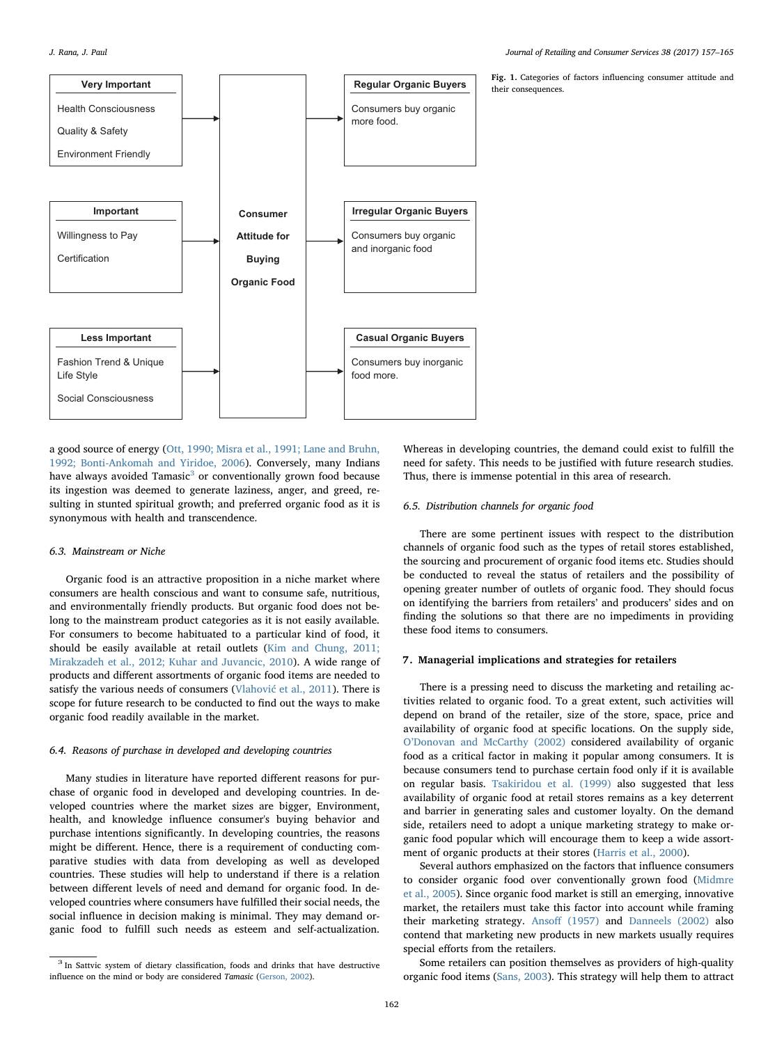<span id="page-5-1"></span>

their consequences.

a good source of energy ([Ott, 1990; Misra et al., 1991; Lane and Bruhn,](#page-7-60) [1992; Bonti-Ankomah and Yiridoe, 2006](#page-7-60)). Conversely, many Indians have always avoided  $T$ amasic<sup>3</sup> or conventionally grown food because $T$ amasic<sup>3</sup> or conventionally grown food because $T$ amasic<sup>3</sup> or conventionally grown food becauseits ingestion was deemed to generate laziness, anger, and greed, resulting in stunted spiritual growth; and preferred organic food as it is synonymous with health and transcendence.

## 6.3. Mainstream or Niche

Organic food is an attractive proposition in a niche market where consumers are health conscious and want to consume safe, nutritious, and environmentally friendly products. But organic food does not belong to the mainstream product categories as it is not easily available. For consumers to become habituated to a particular kind of food, it should be easily available at retail outlets [\(Kim and Chung, 2011;](#page-7-61) [Mirakzadeh et al., 2012; Kuhar and Juvancic, 2010\)](#page-7-61). A wide range of products and different assortments of organic food items are needed to satisfy the various needs of consumers (Vlahović [et al., 2011\)](#page-8-7). There is scope for future research to be conducted to find out the ways to make organic food readily available in the market.

#### 6.4. Reasons of purchase in developed and developing countries

Many studies in literature have reported different reasons for purchase of organic food in developed and developing countries. In developed countries where the market sizes are bigger, Environment, health, and knowledge influence consumer's buying behavior and purchase intentions significantly. In developing countries, the reasons might be different. Hence, there is a requirement of conducting comparative studies with data from developing as well as developed countries. These studies will help to understand if there is a relation between different levels of need and demand for organic food. In developed countries where consumers have fulfilled their social needs, the social influence in decision making is minimal. They may demand organic food to fulfill such needs as esteem and self-actualization.

Whereas in developing countries, the demand could exist to fulfill the need for safety. This needs to be justified with future research studies. Thus, there is immense potential in this area of research.

## 6.5. Distribution channels for organic food

There are some pertinent issues with respect to the distribution channels of organic food such as the types of retail stores established, the sourcing and procurement of organic food items etc. Studies should be conducted to reveal the status of retailers and the possibility of opening greater number of outlets of organic food. They should focus on identifying the barriers from retailers' and producers' sides and on finding the solutions so that there are no impediments in providing these food items to consumers.

# <span id="page-5-0"></span>7. Managerial implications and strategies for retailers

There is a pressing need to discuss the marketing and retailing activities related to organic food. To a great extent, such activities will depend on brand of the retailer, size of the store, space, price and availability of organic food at specific locations. On the supply side, O'[Donovan and McCarthy \(2002\)](#page-7-27) considered availability of organic food as a critical factor in making it popular among consumers. It is because consumers tend to purchase certain food only if it is available on regular basis. [Tsakiridou et al. \(1999\)](#page-8-8) also suggested that less availability of organic food at retail stores remains as a key deterrent and barrier in generating sales and customer loyalty. On the demand side, retailers need to adopt a unique marketing strategy to make organic food popular which will encourage them to keep a wide assortment of organic products at their stores ([Harris et al., 2000](#page-7-17)).

Several authors emphasized on the factors that influence consumers to consider organic food over conventionally grown food ([Midmre](#page-7-62) [et al., 2005\)](#page-7-62). Since organic food market is still an emerging, innovative market, the retailers must take this factor into account while framing their marketing strategy. Ansoff [\(1957\)](#page-6-30) and [Danneels \(2002\)](#page-6-31) also contend that marketing new products in new markets usually requires special efforts from the retailers.

Some retailers can position themselves as providers of high-quality organic food items ([Sans, 2003](#page-7-63)). This strategy will help them to attract

Fig. 1. Categories of factors influencing consumer attitude and

<span id="page-5-2"></span><sup>&</sup>lt;sup>3</sup> In Sattvic system of dietary classification, foods and drinks that have destructive influence on the mind or body are considered Tamasic [\(Gerson, 2002](#page-6-29)).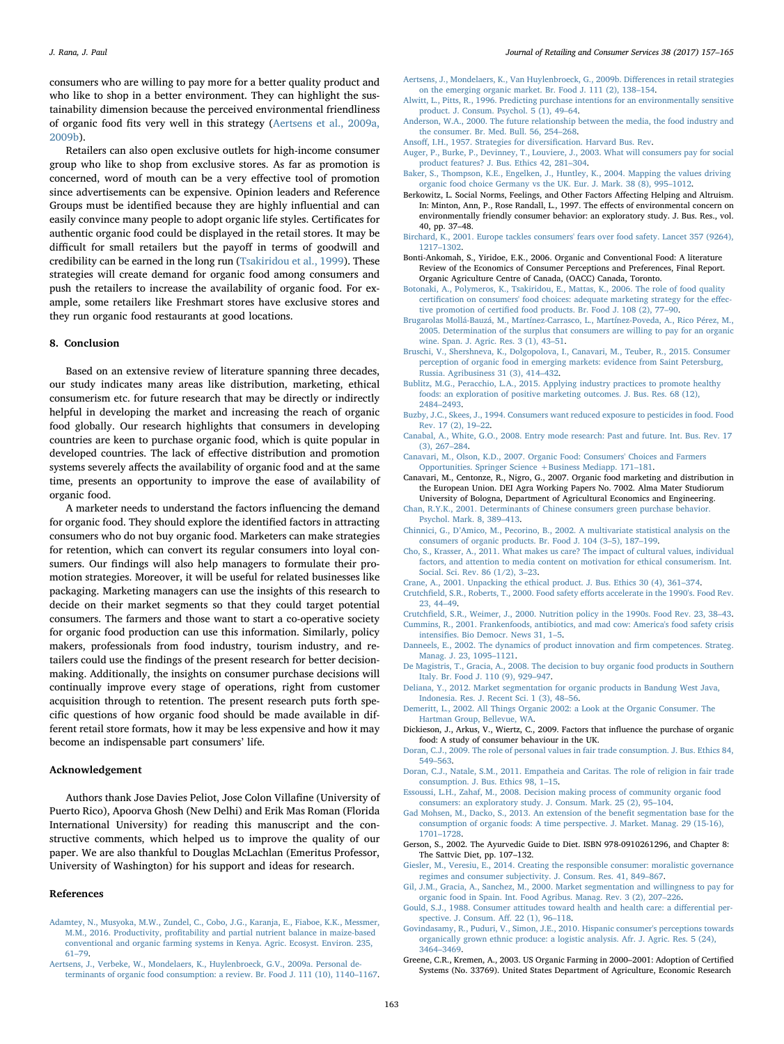consumers who are willing to pay more for a better quality product and who like to shop in a better environment. They can highlight the sustainability dimension because the perceived environmental friendliness of organic food fits very well in this strategy [\(Aertsens et al., 2009a,](#page-6-6) [2009b\)](#page-6-6).

Retailers can also open exclusive outlets for high-income consumer group who like to shop from exclusive stores. As far as promotion is concerned, word of mouth can be a very effective tool of promotion since advertisements can be expensive. Opinion leaders and Reference Groups must be identified because they are highly influential and can easily convince many people to adopt organic life styles. Certificates for authentic organic food could be displayed in the retail stores. It may be difficult for small retailers but the payoff in terms of goodwill and credibility can be earned in the long run [\(Tsakiridou et al., 1999](#page-8-8)). These strategies will create demand for organic food among consumers and push the retailers to increase the availability of organic food. For example, some retailers like Freshmart stores have exclusive stores and they run organic food restaurants at good locations.

#### <span id="page-6-2"></span>8. Conclusion

Based on an extensive review of literature spanning three decades, our study indicates many areas like distribution, marketing, ethical consumerism etc. for future research that may be directly or indirectly helpful in developing the market and increasing the reach of organic food globally. Our research highlights that consumers in developing countries are keen to purchase organic food, which is quite popular in developed countries. The lack of effective distribution and promotion systems severely affects the availability of organic food and at the same time, presents an opportunity to improve the ease of availability of organic food.

A marketer needs to understand the factors influencing the demand for organic food. They should explore the identified factors in attracting consumers who do not buy organic food. Marketers can make strategies for retention, which can convert its regular consumers into loyal consumers. Our findings will also help managers to formulate their promotion strategies. Moreover, it will be useful for related businesses like packaging. Marketing managers can use the insights of this research to decide on their market segments so that they could target potential consumers. The farmers and those want to start a co-operative society for organic food production can use this information. Similarly, policy makers, professionals from food industry, tourism industry, and retailers could use the findings of the present research for better decisionmaking. Additionally, the insights on consumer purchase decisions will continually improve every stage of operations, right from customer acquisition through to retention. The present research puts forth specific questions of how organic food should be made available in different retail store formats, how it may be less expensive and how it may become an indispensable part consumers' life.

#### Acknowledgement

Authors thank Jose Davies Peliot, Jose Colon Villafine (University of Puerto Rico), Apoorva Ghosh (New Delhi) and Erik Mas Roman (Florida International University) for reading this manuscript and the constructive comments, which helped us to improve the quality of our paper. We are also thankful to Douglas McLachlan (Emeritus Professor, University of Washington) for his support and ideas for research.

## References

- <span id="page-6-0"></span>[Adamtey, N., Musyoka, M.W., Zundel, C., Cobo, J.G., Karanja, E., Fiaboe, K.K., Messmer,](http://refhub.elsevier.com/S0969-6989(17)30107-8/sbref1) M.M., 2016. Productivity, profi[tability and partial nutrient balance in maize-based](http://refhub.elsevier.com/S0969-6989(17)30107-8/sbref1) [conventional and organic farming systems in Kenya. Agric. Ecosyst. Environ. 235,](http://refhub.elsevier.com/S0969-6989(17)30107-8/sbref1) 61–[79](http://refhub.elsevier.com/S0969-6989(17)30107-8/sbref1).
- <span id="page-6-6"></span>[Aertsens, J., Verbeke, W., Mondelaers, K., Huylenbroeck, G.V., 2009a. Personal de](http://refhub.elsevier.com/S0969-6989(17)30107-8/sbref2)[terminants of organic food consumption: a review. Br. Food J. 111 \(10\), 1140](http://refhub.elsevier.com/S0969-6989(17)30107-8/sbref2)–1167.
- [Aertsens, J., Mondelaers, K., Van Huylenbroeck, G., 2009b. Di](http://refhub.elsevier.com/S0969-6989(17)30107-8/sbref3)fferences in retail strategies [on the emerging organic market. Br. Food J. 111 \(2\), 138](http://refhub.elsevier.com/S0969-6989(17)30107-8/sbref3)–154.
- <span id="page-6-9"></span>[Alwitt, L., Pitts, R., 1996. Predicting purchase intentions for an environmentally sensitive](http://refhub.elsevier.com/S0969-6989(17)30107-8/sbref4) [product. J. Consum. Psychol. 5 \(1\), 49](http://refhub.elsevier.com/S0969-6989(17)30107-8/sbref4)–64.
- <span id="page-6-16"></span>[Anderson, W.A., 2000. The future relationship between the media, the food industry and](http://refhub.elsevier.com/S0969-6989(17)30107-8/sbref5) [the consumer. Br. Med. Bull. 56, 254](http://refhub.elsevier.com/S0969-6989(17)30107-8/sbref5)–268.
- <span id="page-6-30"></span>Ansoff[, I.H., 1957. Strategies for diversi](http://refhub.elsevier.com/S0969-6989(17)30107-8/sbref6)fication. Harvard Bus. Rev.
- <span id="page-6-10"></span>[Auger, P., Burke, P., Devinney, T., Louviere, J., 2003. What will consumers pay for social](http://refhub.elsevier.com/S0969-6989(17)30107-8/sbref7) [product features? J. Bus. Ethics 42, 281](http://refhub.elsevier.com/S0969-6989(17)30107-8/sbref7)–304.
- [Baker, S., Thompson, K.E., Engelken, J., Huntley, K., 2004. Mapping the values driving](http://refhub.elsevier.com/S0969-6989(17)30107-8/sbref8) [organic food choice Germany vs the UK. Eur. J. Mark. 38 \(8\), 995](http://refhub.elsevier.com/S0969-6989(17)30107-8/sbref8)–1012.
- <span id="page-6-19"></span>Berkowitz, L. Social Norms, Feelings, and Other Factors Affecting Helping and Altruism. In: Minton, Ann, P., Rose Randall, L., 1997. The effects of environmental concern on environmentally friendly consumer behavior: an exploratory study. J. Bus. Res., vol. 40, pp. 37–48.
- [Birchard, K., 2001. Europe tackles consumers' fears over food safety. Lancet 357 \(9264\),](http://refhub.elsevier.com/S0969-6989(17)30107-8/sbref9) 1217–[1302](http://refhub.elsevier.com/S0969-6989(17)30107-8/sbref9).
- Bonti-Ankomah, S., Yiridoe, E.K., 2006. Organic and Conventional Food: A literature Review of the Economics of Consumer Perceptions and Preferences, Final Report. Organic Agriculture Centre of Canada, (OACC) Canada, Toronto.
- [Botonaki, A., Polymeros, K., Tsakiridou, E., Mattas, K., 2006. The role of food quality](http://refhub.elsevier.com/S0969-6989(17)30107-8/sbref10) certifi[cation on consumers' food choices: adequate marketing strategy for the e](http://refhub.elsevier.com/S0969-6989(17)30107-8/sbref10)ffective promotion of certifi[ed food products. Br. Food J. 108 \(2\), 77](http://refhub.elsevier.com/S0969-6989(17)30107-8/sbref10)–90.
- <span id="page-6-26"></span>[Brugarolas Mollá-Bauzá, M., Martínez-Carrasco, L., Martínez-Poveda, A., Rico Pérez, M.,](http://refhub.elsevier.com/S0969-6989(17)30107-8/sbref11) [2005. Determination of the surplus that consumers are willing to pay for an organic](http://refhub.elsevier.com/S0969-6989(17)30107-8/sbref11) [wine. Span. J. Agric. Res. 3 \(1\), 43](http://refhub.elsevier.com/S0969-6989(17)30107-8/sbref11)–51.
- <span id="page-6-15"></span>[Bruschi, V., Shershneva, K., Dolgopolova, I., Canavari, M., Teuber, R., 2015. Consumer](http://refhub.elsevier.com/S0969-6989(17)30107-8/sbref12) [perception of organic food in emerging markets: evidence from Saint Petersburg,](http://refhub.elsevier.com/S0969-6989(17)30107-8/sbref12) [Russia. Agribusiness 31 \(3\), 414](http://refhub.elsevier.com/S0969-6989(17)30107-8/sbref12)–432.
- <span id="page-6-1"></span>[Bublitz, M.G., Peracchio, L.A., 2015. Applying industry practices to promote healthy](http://refhub.elsevier.com/S0969-6989(17)30107-8/sbref13) [foods: an exploration of positive marketing outcomes. J. Bus. Res. 68 \(12\),](http://refhub.elsevier.com/S0969-6989(17)30107-8/sbref13) 2484–[2493](http://refhub.elsevier.com/S0969-6989(17)30107-8/sbref13).
- [Buzby, J.C., Skees, J., 1994. Consumers want reduced exposure to pesticides in food. Food](http://refhub.elsevier.com/S0969-6989(17)30107-8/sbref14) [Rev. 17 \(2\), 19](http://refhub.elsevier.com/S0969-6989(17)30107-8/sbref14)–22.
- <span id="page-6-3"></span>[Canabal, A., White, G.O., 2008. Entry mode research: Past and future. Int. Bus. Rev. 17](http://refhub.elsevier.com/S0969-6989(17)30107-8/sbref15) [\(3\), 267](http://refhub.elsevier.com/S0969-6989(17)30107-8/sbref15)–284.
- <span id="page-6-5"></span>Canavari, [M., Olson, K.D., 2007. Organic Food: Consumers' Choices and Farmers](http://refhub.elsevier.com/S0969-6989(17)30107-8/sbref16) [Opportunities. Springer Science +Business Mediapp. 171](http://refhub.elsevier.com/S0969-6989(17)30107-8/sbref16)–181.
- <span id="page-6-22"></span>Canavari, M., Centonze, R., Nigro, G., 2007. Organic food marketing and distribution in the European Union. DEI Agra Working Papers No. 7002. Alma Mater Studiorum University of Bologna, Department of Agricultural Economics and Engineering.
- <span id="page-6-4"></span>[Chan, R.Y.K., 2001. Determinants of Chinese consumers green purchase behavior.](http://refhub.elsevier.com/S0969-6989(17)30107-8/sbref17) [Psychol. Mark. 8, 389](http://refhub.elsevier.com/S0969-6989(17)30107-8/sbref17)–413.
- <span id="page-6-14"></span>Chinnici, G., D'[Amico, M., Pecorino, B., 2002. A multivariate statistical analysis on the](http://refhub.elsevier.com/S0969-6989(17)30107-8/sbref18) [consumers of organic products. Br. Food J. 104 \(3](http://refhub.elsevier.com/S0969-6989(17)30107-8/sbref18)–5), 187–199.
- <span id="page-6-21"></span>[Cho, S., Krasser, A., 2011. What makes us care? The impact of cultural values, individual](http://refhub.elsevier.com/S0969-6989(17)30107-8/sbref19) [factors, and attention to media content on motivation for ethical consumerism. Int.](http://refhub.elsevier.com/S0969-6989(17)30107-8/sbref19) [Social. Sci. Rev. 86 \(1/2\), 3](http://refhub.elsevier.com/S0969-6989(17)30107-8/sbref19)–23.
- <span id="page-6-8"></span>[Crane, A., 2001. Unpacking the ethical product. J. Bus. Ethics 30 \(4\), 361](http://refhub.elsevier.com/S0969-6989(17)30107-8/sbref20)–374.
- <span id="page-6-18"></span>Crutchfi[eld, S.R., Roberts, T., 2000. Food safety e](http://refhub.elsevier.com/S0969-6989(17)30107-8/sbref21)fforts accelerate in the 1990's. Food Rev. [23, 44](http://refhub.elsevier.com/S0969-6989(17)30107-8/sbref21)–49.

<span id="page-6-17"></span>Crutchfi[eld, S.R., Weimer, J., 2000. Nutrition policy in the 1990s. Food Rev. 23, 38](http://refhub.elsevier.com/S0969-6989(17)30107-8/sbref22)–43. [Cummins, R., 2001. Frankenfoods, antibiotics, and mad cow: America's food safety crisis](http://refhub.elsevier.com/S0969-6989(17)30107-8/sbref23) intensifi[es. Bio Democr. News 31, 1](http://refhub.elsevier.com/S0969-6989(17)30107-8/sbref23)–5.

- <span id="page-6-31"></span>[Danneels, E., 2002. The dynamics of product innovation and](http://refhub.elsevier.com/S0969-6989(17)30107-8/sbref24) firm competences. Strateg. [Manag. J. 23, 1095](http://refhub.elsevier.com/S0969-6989(17)30107-8/sbref24)–1121.
- [De Magistris, T., Gracia, A., 2008. The decision to buy organic food products in Southern](http://refhub.elsevier.com/S0969-6989(17)30107-8/sbref25) [Italy. Br. Food J. 110 \(9\), 929](http://refhub.elsevier.com/S0969-6989(17)30107-8/sbref25)–947.
- <span id="page-6-24"></span>[Deliana, Y., 2012. Market segmentation for organic products in Bandung West Java,](http://refhub.elsevier.com/S0969-6989(17)30107-8/sbref26) [Indonesia. Res. J. Recent Sci. 1 \(3\), 48](http://refhub.elsevier.com/S0969-6989(17)30107-8/sbref26)–56.
- [Demeritt, L., 2002. All Things Organic 2002: a Look at the Organic Consumer. The](http://refhub.elsevier.com/S0969-6989(17)30107-8/sbref27) [Hartman Group, Bellevue, WA](http://refhub.elsevier.com/S0969-6989(17)30107-8/sbref27).
- <span id="page-6-25"></span>Dickieson, J., Arkus, V., Wiertz, C., 2009. Factors that influence the purchase of organic food: A study of consumer behaviour in the UK.
- <span id="page-6-11"></span>[Doran, C.J., 2009. The role of personal values in fair trade consumption. J. Bus. Ethics 84,](http://refhub.elsevier.com/S0969-6989(17)30107-8/sbref28) 549–[563](http://refhub.elsevier.com/S0969-6989(17)30107-8/sbref28).
- <span id="page-6-12"></span>[Doran, C.J., Natale, S.M., 2011. Empatheia and Caritas. The role of religion in fair trade](http://refhub.elsevier.com/S0969-6989(17)30107-8/sbref29) [consumption. J. Bus. Ethics 98, 1](http://refhub.elsevier.com/S0969-6989(17)30107-8/sbref29)–15.
- <span id="page-6-28"></span>[Essoussi, L.H., Zahaf, M., 2008. Decision making process of community organic food](http://refhub.elsevier.com/S0969-6989(17)30107-8/sbref30) [consumers: an exploratory study. J. Consum. Mark. 25 \(2\), 95](http://refhub.elsevier.com/S0969-6989(17)30107-8/sbref30)–104.
- <span id="page-6-27"></span>[Gad Mohsen, M., Dacko, S., 2013. An extension of the bene](http://refhub.elsevier.com/S0969-6989(17)30107-8/sbref31)fit segmentation base for the [consumption of organic foods: A time perspective. J. Market. Manag. 29 \(15-16\),](http://refhub.elsevier.com/S0969-6989(17)30107-8/sbref31) 1701–[1728](http://refhub.elsevier.com/S0969-6989(17)30107-8/sbref31).
- <span id="page-6-29"></span>Gerson, S., 2002. The Ayurvedic Guide to Diet. ISBN 978-0910261296, and Chapter 8: The Sattvic Diet, pp. 107–132.
- <span id="page-6-20"></span>[Giesler, M., Veresiu, E., 2014. Creating the responsible consumer: moralistic governance](http://refhub.elsevier.com/S0969-6989(17)30107-8/sbref32) [regimes and consumer subjectivity. J. Consum. Res. 41, 849](http://refhub.elsevier.com/S0969-6989(17)30107-8/sbref32)–867.
- <span id="page-6-13"></span>[Gil, J.M., Gracia, A., Sanchez, M., 2000. Market segmentation and willingness to pay for](http://refhub.elsevier.com/S0969-6989(17)30107-8/sbref33) [organic food in Spain. Int. Food Agribus. Manag. Rev. 3 \(2\), 207](http://refhub.elsevier.com/S0969-6989(17)30107-8/sbref33)–226.
- <span id="page-6-7"></span>[Gould, S.J., 1988. Consumer attitudes toward health and health care: a di](http://refhub.elsevier.com/S0969-6989(17)30107-8/sbref34)fferential per[spective. J. Consum. A](http://refhub.elsevier.com/S0969-6989(17)30107-8/sbref34)ff. 22 (1), 96–118.
- [Govindasamy, R., Puduri, V., Simon, J.E., 2010. Hispanic consumer's perceptions towards](http://refhub.elsevier.com/S0969-6989(17)30107-8/sbref35) [organically grown ethnic produce: a logistic analysis. Afr. J. Agric. Res. 5 \(24\),](http://refhub.elsevier.com/S0969-6989(17)30107-8/sbref35) 3464–[3469](http://refhub.elsevier.com/S0969-6989(17)30107-8/sbref35).
- <span id="page-6-23"></span>Greene, C.R., Kremen, A., 2003. US Organic Farming in 2000–2001: Adoption of Certified Systems (No. 33769). United States Department of Agriculture, Economic Research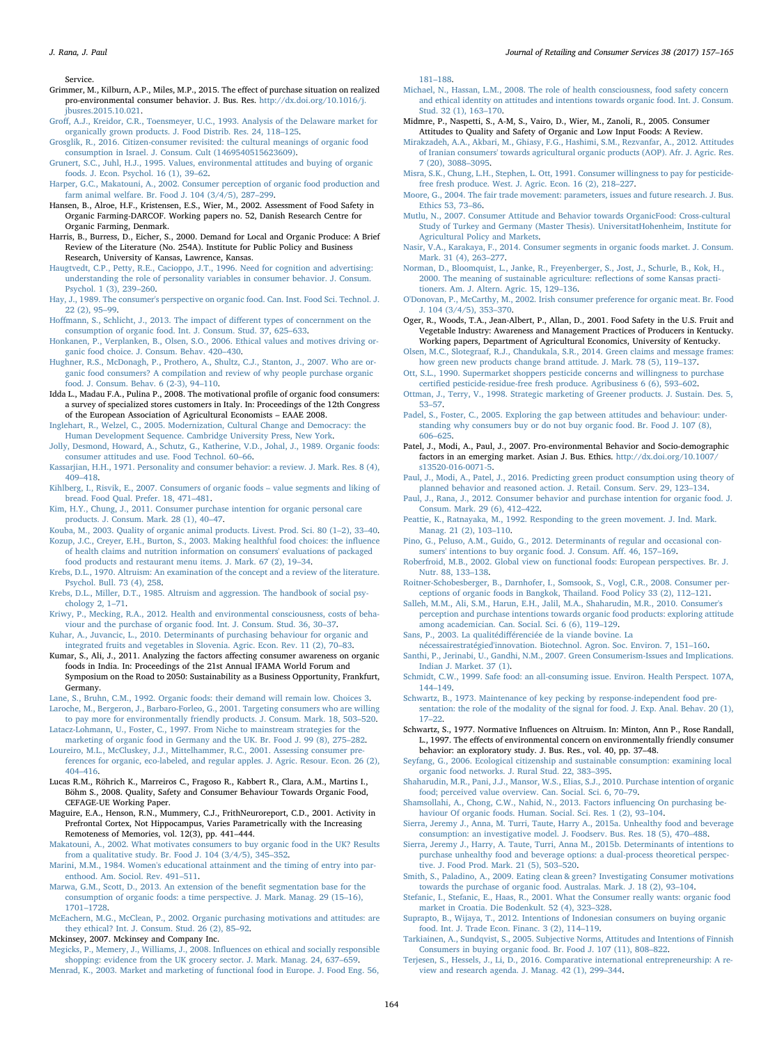Service.

- <span id="page-7-55"></span>Grimmer, M., Kilburn, A.P., Miles, M.P., 2015. The effect of purchase situation on realized pro-environmental consumer behavior. J. Bus. Res. [http://dx.doi.org/10.1016/j.](http://dx.doi.org/10.1016/j.jbusres.2015.10.021) *ibusres*. 2015.10.021.
- <span id="page-7-16"></span>Groff[, A.J., Kreidor, C.R., Toensmeyer, U.C., 1993. Analysis of the Delaware market for](http://refhub.elsevier.com/S0969-6989(17)30107-8/sbref37) [organically grown products. J. Food Distrib. Res. 24, 118](http://refhub.elsevier.com/S0969-6989(17)30107-8/sbref37)–125.
- <span id="page-7-0"></span>[Grosglik, R., 2016. Citizen-consumer revisited: the cultural meanings of organic food](http://refhub.elsevier.com/S0969-6989(17)30107-8/sbref38) [consumption in Israel. J. Consum. Cult \(1469540515623609\).](http://refhub.elsevier.com/S0969-6989(17)30107-8/sbref38)
- <span id="page-7-47"></span>[Grunert, S.C., Juhl, H.J., 1995. Values, environmental attitudes and buying of organic](http://refhub.elsevier.com/S0969-6989(17)30107-8/sbref39) [foods. J. Econ. Psychol. 16 \(1\), 39](http://refhub.elsevier.com/S0969-6989(17)30107-8/sbref39)–62.
- <span id="page-7-25"></span>[Harper, G.C., Makatouni, A., 2002. Consumer perception of organic food production and](http://refhub.elsevier.com/S0969-6989(17)30107-8/sbref40) [farm animal welfare. Br. Food J. 104 \(3/4/5\), 287](http://refhub.elsevier.com/S0969-6989(17)30107-8/sbref40)–299.
- Hansen, B., Alroe, H.F., Kristensen, E.S., Wier, M., 2002. Assessment of Food Safety in Organic Farming-DARCOF. Working papers no. 52, Danish Research Centre for Organic Farming, Denmark.
- <span id="page-7-17"></span>Harris, B., Burress, D., Eicher, S., 2000. Demand for Local and Organic Produce: A Brief Review of the Literature (No. 254A). Institute for Public Policy and Business Research, University of Kansas, Lawrence, Kansas.
- <span id="page-7-22"></span>[Haugtvedt, C.P., Petty, R.E., Cacioppo, J.T., 1996. Need for cognition and advertising:](http://refhub.elsevier.com/S0969-6989(17)30107-8/sbref41) [understanding the role of personality variables in consumer behavior. J. Consum.](http://refhub.elsevier.com/S0969-6989(17)30107-8/sbref41) [Psychol. 1 \(3\), 239](http://refhub.elsevier.com/S0969-6989(17)30107-8/sbref41)–260.
- <span id="page-7-32"></span>[Hay, J., 1989. The consumer's perspective on organic food. Can. Inst. Food Sci. Technol. J.](http://refhub.elsevier.com/S0969-6989(17)30107-8/sbref42) [22 \(2\), 95](http://refhub.elsevier.com/S0969-6989(17)30107-8/sbref42)–99.
- <span id="page-7-46"></span>Hoff[mann, S., Schlicht, J., 2013. The impact of di](http://refhub.elsevier.com/S0969-6989(17)30107-8/sbref43)fferent types of concernment on the [consumption of organic food. Int. J. Consum. Stud. 37, 625](http://refhub.elsevier.com/S0969-6989(17)30107-8/sbref43)–633.
- <span id="page-7-12"></span>[Honkanen, P., Verplanken, B., Olsen, S.O., 2006. Ethical values and motives driving or](http://refhub.elsevier.com/S0969-6989(17)30107-8/sbref44)[ganic food choice. J. Consum. Behav. 420](http://refhub.elsevier.com/S0969-6989(17)30107-8/sbref44)–430.
- <span id="page-7-53"></span>[Hughner, R.S., McDonagh, P., Prothero, A., Shultz, C.J., Stanton, J., 2007. Who are or](http://refhub.elsevier.com/S0969-6989(17)30107-8/sbref45)[ganic food consumers? A compilation and review of why people purchase organic](http://refhub.elsevier.com/S0969-6989(17)30107-8/sbref45) [food. J. Consum. Behav. 6 \(2-3\), 94](http://refhub.elsevier.com/S0969-6989(17)30107-8/sbref45)–110.
- <span id="page-7-54"></span>Idda L., Madau F.A., Pulina P., 2008. The motivational profile of organic food consumers: a survey of specialized stores customers in Italy. In: Proceedings of the 12th Congress of the European Association of Agricultural Economists – EAAE 2008.
- <span id="page-7-45"></span>[Inglehart, R., Welzel, C., 2005. Modernization, Cultural Change and Democracy: the](http://refhub.elsevier.com/S0969-6989(17)30107-8/sbref46) [Human Development Sequence. Cambridge University Press, New York.](http://refhub.elsevier.com/S0969-6989(17)30107-8/sbref46)
- <span id="page-7-31"></span>[Jolly, Desmond, Howard, A., Schutz, G., Katherine, V.D., Johal, J., 1989. Organic foods:](http://refhub.elsevier.com/S0969-6989(17)30107-8/sbref47) [consumer attitudes and use. Food Technol. 60](http://refhub.elsevier.com/S0969-6989(17)30107-8/sbref47)–66. [Kassarjian, H.H., 1971. Personality and consumer behavior: a review. J. Mark. Res. 8 \(4\),](http://refhub.elsevier.com/S0969-6989(17)30107-8/sbref48)
- <span id="page-7-49"></span>409–[418](http://refhub.elsevier.com/S0969-6989(17)30107-8/sbref48).
- <span id="page-7-24"></span>[Kihlberg, I., Risvik, E., 2007. Consumers of organic foods](http://refhub.elsevier.com/S0969-6989(17)30107-8/sbref49) – value segments and liking of [bread. Food Qual. Prefer. 18, 471](http://refhub.elsevier.com/S0969-6989(17)30107-8/sbref49)–481.
- <span id="page-7-61"></span>[Kim, H.Y., Chung, J., 2011. Consumer purchase intention for organic personal care](http://refhub.elsevier.com/S0969-6989(17)30107-8/sbref50) [products. J. Consum. Mark. 28 \(1\), 40](http://refhub.elsevier.com/S0969-6989(17)30107-8/sbref50)–47.
- <span id="page-7-11"></span>[Kouba, M., 2003. Quality of organic animal products. Livest. Prod. Sci. 80 \(1](http://refhub.elsevier.com/S0969-6989(17)30107-8/sbref51)–2), 33–40. [Kozup, J.C., Creyer, E.H., Burton, S., 2003. Making healthful food choices: the in](http://refhub.elsevier.com/S0969-6989(17)30107-8/sbref52)fluence
- of [health claims and nutrition information on consumers' evaluations of packaged](http://refhub.elsevier.com/S0969-6989(17)30107-8/sbref52) [food products and restaurant menu items. J. Mark. 67 \(2\), 19](http://refhub.elsevier.com/S0969-6989(17)30107-8/sbref52)–34.
- <span id="page-7-35"></span>[Krebs, D.L., 1970. Altruism: An examination of the concept and a review of the literature.](http://refhub.elsevier.com/S0969-6989(17)30107-8/sbref53) [Psychol. Bull. 73 \(4\), 258.](http://refhub.elsevier.com/S0969-6989(17)30107-8/sbref53)
- <span id="page-7-37"></span>[Krebs, D.L., Miller, D.T., 1985. Altruism and aggression. The handbook of social psy](http://refhub.elsevier.com/S0969-6989(17)30107-8/sbref54)[chology 2, 1](http://refhub.elsevier.com/S0969-6989(17)30107-8/sbref54)–71.
- <span id="page-7-7"></span>[Kriwy, P., Mecking, R.A., 2012. Health and environmental consciousness, costs of beha](http://refhub.elsevier.com/S0969-6989(17)30107-8/sbref55)[viour and the purchase of organic food. Int. J. Consum. Stud. 36, 30](http://refhub.elsevier.com/S0969-6989(17)30107-8/sbref55)–37.
- <span id="page-7-58"></span>[Kuhar, A., Juvancic, L., 2010. Determinants of purchasing behaviour for organic and](http://refhub.elsevier.com/S0969-6989(17)30107-8/sbref56) [integrated fruits and vegetables in Slovenia. Agric. Econ. Rev. 11 \(2\), 70](http://refhub.elsevier.com/S0969-6989(17)30107-8/sbref56)–83.
- Kumar, S., Ali, J., 2011. Analyzing the factors affecting consumer awareness on organic foods in India. In: Proceedings of the 21st Annual IFAMA World Forum and Symposium on the Road to 2050: Sustainability as a Business Opportunity, Frankfurt, Germany.
- <span id="page-7-51"></span><span id="page-7-34"></span>[Lane, S., Bruhn, C.M., 1992. Organic foods: their demand will remain low. Choices 3.](http://refhub.elsevier.com/S0969-6989(17)30107-8/sbref57) [Laroche, M., Bergeron, J., Barbaro-Forleo, G., 2001. Targeting consumers who are willing](http://refhub.elsevier.com/S0969-6989(17)30107-8/sbref58) [to pay more for environmentally friendly products. J. Consum. Mark. 18, 503](http://refhub.elsevier.com/S0969-6989(17)30107-8/sbref58)–520.

<span id="page-7-26"></span>[Latacz-Lohmann, U., Foster, C., 1997. From Niche to mainstream strategies for the](http://refhub.elsevier.com/S0969-6989(17)30107-8/sbref59) [marketing of organic food in Germany and the UK. Br. Food J. 99 \(8\), 275](http://refhub.elsevier.com/S0969-6989(17)30107-8/sbref59)–282.

<span id="page-7-23"></span>[Loureiro, M.L., McCluskey, J.J., Mittelhammer, R.C., 2001. Assessing consumer pre](http://refhub.elsevier.com/S0969-6989(17)30107-8/sbref60)[ferences for organic, eco-labeled, and regular apples. J. Agric. Resour. Econ. 26 \(2\),](http://refhub.elsevier.com/S0969-6989(17)30107-8/sbref60) 404–[416](http://refhub.elsevier.com/S0969-6989(17)30107-8/sbref60).

- <span id="page-7-59"></span>Lucas R.M., Röhrich K., Marreiros C., Fragoso R., Kabbert R., Clara, A.M., Martins I., Böhm S., 2008. Quality, Safety and Consumer Behaviour Towards Organic Food, CEFAGE-UE Working Paper.
- <span id="page-7-48"></span>Maguire, E.A., Henson, R.N., Mummery, C.J., FrithNeuroreport, C.D., 2001. Activity in Prefrontal Cortex, Not Hippocampus, Varies Parametrically with the Increasing Remoteness of Memories, vol. 12(3), pp. 441–444.
- <span id="page-7-43"></span>[Makatouni, A., 2002. What motivates consumers to buy organic food in the UK? Results](http://refhub.elsevier.com/S0969-6989(17)30107-8/sbref61) [from a qualitative study. Br. Food J. 104 \(3/4/5\), 345](http://refhub.elsevier.com/S0969-6989(17)30107-8/sbref61)–352.
- <span id="page-7-36"></span>[Marini, M.M., 1984. Women's educational attainment and the timing of entry into par](http://refhub.elsevier.com/S0969-6989(17)30107-8/sbref62)[enthood. Am. Sociol. Rev. 491](http://refhub.elsevier.com/S0969-6989(17)30107-8/sbref62)–511.
- <span id="page-7-9"></span>[Marwa, G.M., Scott, D., 2013. An extension of the bene](http://refhub.elsevier.com/S0969-6989(17)30107-8/sbref63)fit segmentation base for the [consumption of organic foods: a time perspective. J. Mark. Manag. 29 \(15](http://refhub.elsevier.com/S0969-6989(17)30107-8/sbref63)–16), 1701–[1728](http://refhub.elsevier.com/S0969-6989(17)30107-8/sbref63).
- <span id="page-7-33"></span>[McEachern, M.G., McClean, P., 2002. Organic purchasing motivations and attitudes: are](http://refhub.elsevier.com/S0969-6989(17)30107-8/sbref64) [they ethical? Int. J. Consum. Stud. 26 \(2\), 85](http://refhub.elsevier.com/S0969-6989(17)30107-8/sbref64)–92.

<span id="page-7-40"></span>Mckinsey, 2007. Mckinsey and Company Inc.

- [Megicks, P., Memery, J., Williams, J., 2008. In](http://refhub.elsevier.com/S0969-6989(17)30107-8/sbref65)fluences on ethical and socially responsible [shopping: evidence from the UK grocery sector. J. Mark. Manag. 24, 637](http://refhub.elsevier.com/S0969-6989(17)30107-8/sbref65)–659.
- <span id="page-7-2"></span>[Menrad, K., 2003. Market and marketing of functional food in Europe. J. Food Eng. 56,](http://refhub.elsevier.com/S0969-6989(17)30107-8/sbref66)

181–[188](http://refhub.elsevier.com/S0969-6989(17)30107-8/sbref66).

- <span id="page-7-50"></span>[Michael, N., Hassan, L.M., 2008. The role of health consciousness, food safety concern](http://refhub.elsevier.com/S0969-6989(17)30107-8/sbref67) [and ethical identity on attitudes and intentions towards organic food. Int. J. Consum.](http://refhub.elsevier.com/S0969-6989(17)30107-8/sbref67) [Stud. 32 \(1\), 163](http://refhub.elsevier.com/S0969-6989(17)30107-8/sbref67)–170.
- <span id="page-7-62"></span>Midmre, P., Naspetti, S., A-M, S., Vairo, D., Wier, M., Zanoli, R., 2005. Consumer Attitudes to Quality and Safety of Organic and Low Input Foods: A Review.
- [Mirakzadeh, A.A., Akbari, M., Ghiasy, F.G., Hashimi, S.M., Rezvanfar, A., 2012. Attitudes](http://refhub.elsevier.com/S0969-6989(17)30107-8/sbref68) [of Iranian consumers' towards agricultural organic products \(AOP\). Afr. J. Agric. Res.](http://refhub.elsevier.com/S0969-6989(17)30107-8/sbref68) [7 \(20\), 3088](http://refhub.elsevier.com/S0969-6989(17)30107-8/sbref68)–3095.
- [Misra, S.K., Chung, L.H., Stephen, L. Ott, 1991. Consumer willingness to pay for pesticide](http://refhub.elsevier.com/S0969-6989(17)30107-8/sbref69)[free fresh produce. West. J. Agric. Econ. 16 \(2\), 218](http://refhub.elsevier.com/S0969-6989(17)30107-8/sbref69)–227.
- <span id="page-7-13"></span>[Moore, G., 2004. The fair trade movement: parameters, issues and future research. J. Bus.](http://refhub.elsevier.com/S0969-6989(17)30107-8/sbref70) [Ethics 53, 73](http://refhub.elsevier.com/S0969-6989(17)30107-8/sbref70)–86.
- <span id="page-7-1"></span>[Mutlu, N., 2007. Consumer Attitude and Behavior towards OrganicFood: Cross-cultural](http://refhub.elsevier.com/S0969-6989(17)30107-8/sbref71) [Study of Turkey and Germany \(Master Thesis\). UniversitatHohenheim, Institute for](http://refhub.elsevier.com/S0969-6989(17)30107-8/sbref71) [Agricultural Policy and Markets](http://refhub.elsevier.com/S0969-6989(17)30107-8/sbref71).
- <span id="page-7-29"></span>[Nasir, V.A., Karakaya, F., 2014. Consumer segments in organic foods market. J. Consum.](http://refhub.elsevier.com/S0969-6989(17)30107-8/sbref72) [Mark. 31 \(4\), 263](http://refhub.elsevier.com/S0969-6989(17)30107-8/sbref72)–277.
- <span id="page-7-4"></span>[Norman, D., Bloomquist, L., Janke, R., Freyenberger, S., Jost, J., Schurle, B., Kok, H.,](http://refhub.elsevier.com/S0969-6989(17)30107-8/sbref73) [2000. The meaning of sustainable agriculture: re](http://refhub.elsevier.com/S0969-6989(17)30107-8/sbref73)flections of some Kansas practi[tioners. Am. J. Altern. Agric. 15, 129](http://refhub.elsevier.com/S0969-6989(17)30107-8/sbref73)–136.
- <span id="page-7-27"></span>[O'Donovan, P., McCarthy, M., 2002. Irish consumer preference for organic meat. Br. Food](http://refhub.elsevier.com/S0969-6989(17)30107-8/sbref74) [J. 104 \(3/4/5\), 353](http://refhub.elsevier.com/S0969-6989(17)30107-8/sbref74)–370.
- <span id="page-7-15"></span>Oger, R., Woods, T.A., Jean-Albert, P., Allan, D., 2001. Food Safety in the U.S. Fruit and Vegetable Industry: Awareness and Management Practices of Producers in Kentucky. Working papers, Department of Agricultural Economics, University of Kentucky.
- <span id="page-7-42"></span>[Olsen, M.C., Slotegraaf, R.J., Chandukala, S.R., 2014. Green claims and message frames:](http://refhub.elsevier.com/S0969-6989(17)30107-8/sbref75) [how green new products change brand attitude. J. Mark. 78 \(5\), 119](http://refhub.elsevier.com/S0969-6989(17)30107-8/sbref75)–137.
- <span id="page-7-60"></span>[Ott, S.L., 1990. Supermarket shoppers pesticide concerns and willingness to purchase](http://refhub.elsevier.com/S0969-6989(17)30107-8/sbref76) certifi[ed pesticide-residue-free fresh produce. Agribusiness 6 \(6\), 593](http://refhub.elsevier.com/S0969-6989(17)30107-8/sbref76)–602.
- <span id="page-7-39"></span>[Ottman, J., Terry, V., 1998. Strategic marketing of Greener products. J. Sustain. Des. 5,](http://refhub.elsevier.com/S0969-6989(17)30107-8/sbref77) 53–[57](http://refhub.elsevier.com/S0969-6989(17)30107-8/sbref77).
- <span id="page-7-14"></span>[Padel, S., Foster, C., 2005. Exploring the gap between attitudes and behaviour: under](http://refhub.elsevier.com/S0969-6989(17)30107-8/sbref78)[standing why consumers buy or do not buy organic food. Br. Food J. 107 \(8\),](http://refhub.elsevier.com/S0969-6989(17)30107-8/sbref78) 606–[625](http://refhub.elsevier.com/S0969-6989(17)30107-8/sbref78).
- <span id="page-7-5"></span>Patel, J., Modi, A., Paul, J., 2007. Pro-environmental Behavior and Socio-demographic factors in an emerging market. Asian J. Bus. Ethics. [http://dx.doi.org/10.1007/](http://dx.doi.org/10.1007/s13520-016-0071-5) [s13520-016-0071-5.](http://dx.doi.org/10.1007/s13520-016-0071-5)
- <span id="page-7-6"></span>[Paul, J., Modi, A., Patel, J., 2016. Predicting green product consumption using theory of](http://refhub.elsevier.com/S0969-6989(17)30107-8/sbref80) [planned behavior and reasoned action. J. Retail. Consum. Serv. 29, 123](http://refhub.elsevier.com/S0969-6989(17)30107-8/sbref80)–134.
- <span id="page-7-20"></span>[Paul, J., Rana, J., 2012. Consumer behavior and purchase intention for organic food. J.](http://refhub.elsevier.com/S0969-6989(17)30107-8/sbref81) [Consum. Mark. 29 \(6\), 412](http://refhub.elsevier.com/S0969-6989(17)30107-8/sbref81)–422.
- <span id="page-7-28"></span>[Peattie, K., Ratnayaka, M., 1992. Responding to the green movement. J. Ind. Mark.](http://refhub.elsevier.com/S0969-6989(17)30107-8/sbref82) [Manag. 21 \(2\), 103](http://refhub.elsevier.com/S0969-6989(17)30107-8/sbref82)–110.
- <span id="page-7-44"></span>[Pino, G., Peluso, A.M., Guido, G., 2012. Determinants of regular and occasional con](http://refhub.elsevier.com/S0969-6989(17)30107-8/sbref83)[sumers' intentions to buy organic food. J. Consum. A](http://refhub.elsevier.com/S0969-6989(17)30107-8/sbref83)ff. 46, 157–169.
- <span id="page-7-3"></span>[Roberfroid, M.B., 2002. Global view on functional foods: European perspectives. Br. J.](http://refhub.elsevier.com/S0969-6989(17)30107-8/sbref84) [Nutr. 88, 133](http://refhub.elsevier.com/S0969-6989(17)30107-8/sbref84)–138.
- [Roitner-Schobesberger, B., Darnhofer, I., Somsook, S., Vogl, C.R., 2008. Consumer per](http://refhub.elsevier.com/S0969-6989(17)30107-8/sbref85)[ceptions of organic foods in Bangkok, Thailand. Food Policy 33 \(2\), 112](http://refhub.elsevier.com/S0969-6989(17)30107-8/sbref85)–121.
- <span id="page-7-30"></span>Salleh, [M.M., Ali, S.M., Harun, E.H., Jalil, M.A., Shaharudin, M.R., 2010. Consumer's](http://refhub.elsevier.com/S0969-6989(17)30107-8/sbref86) [perception and purchase intentions towards organic food products: exploring attitude](http://refhub.elsevier.com/S0969-6989(17)30107-8/sbref86) [among academician. Can. Social. Sci. 6 \(6\), 119](http://refhub.elsevier.com/S0969-6989(17)30107-8/sbref86)–129.

<span id="page-7-63"></span>Sans, P., 2003. La qualitédiff[érenciée de la viande bovine. La](http://refhub.elsevier.com/S0969-6989(17)30107-8/sbref87)

- <span id="page-7-57"></span>[nécessairestratégied'innovation. Biotechnol. Agron. Soc. Environ. 7, 151](http://refhub.elsevier.com/S0969-6989(17)30107-8/sbref87)–160. [Santhi, P., Jerinabi, U., Gandhi, N.M., 2007. Green Consumerism-Issues and Implications.](http://refhub.elsevier.com/S0969-6989(17)30107-8/sbref88) [Indian J. Market. 37 \(1\)](http://refhub.elsevier.com/S0969-6989(17)30107-8/sbref88).
- [Schmidt, C.W., 1999. Safe food: an all-consuming issue. Environ. Health Perspect. 107A,](http://refhub.elsevier.com/S0969-6989(17)30107-8/sbref89) 144–[149](http://refhub.elsevier.com/S0969-6989(17)30107-8/sbref89).
- <span id="page-7-38"></span>[Schwartz, B., 1973. Maintenance of key pecking by response](http://refhub.elsevier.com/S0969-6989(17)30107-8/sbref90)‐independent food pre[sentation: the role of the modality of the signal for food. J. Exp. Anal. Behav. 20 \(1\),](http://refhub.elsevier.com/S0969-6989(17)30107-8/sbref90) 17–[22](http://refhub.elsevier.com/S0969-6989(17)30107-8/sbref90).
- Schwartz, S., 1977. Normative Influences on Altruism. In: Minton, Ann P., Rose Randall, L., 1997. The effects of environmental concern on environmentally friendly consumer behavior: an exploratory study. J. Bus. Res., vol. 40, pp. 37–48.
- <span id="page-7-41"></span>[Seyfang, G., 2006. Ecological citizenship and sustainable consumption: examining local](http://refhub.elsevier.com/S0969-6989(17)30107-8/sbref91) [organic food networks. J. Rural Stud. 22, 383](http://refhub.elsevier.com/S0969-6989(17)30107-8/sbref91)–395.
- <span id="page-7-52"></span>[Shaharudin, M.R., Pani, J.J., Mansor, W.S., Elias, S.J., 2010. Purchase intention of organic](http://refhub.elsevier.com/S0969-6989(17)30107-8/sbref92) [food; perceived value overview. Can. Social. Sci. 6, 70](http://refhub.elsevier.com/S0969-6989(17)30107-8/sbref92)–79.
- <span id="page-7-56"></span>[Shamsollahi, A., Chong, C.W., Nahid, N., 2013. Factors in](http://refhub.elsevier.com/S0969-6989(17)30107-8/sbref93)fluencing On purchasing be[haviour Of organic foods. Human. Social. Sci. Res. 1 \(2\), 93](http://refhub.elsevier.com/S0969-6989(17)30107-8/sbref93)–104.
- <span id="page-7-21"></span>[Sierra, Jeremy J., Anna, M. Turri, Taute, Harry A., 2015a. Unhealthy food and beverage](http://refhub.elsevier.com/S0969-6989(17)30107-8/sbref94) [consumption: an investigative model. J. Foodserv. Bus. Res. 18 \(5\), 470](http://refhub.elsevier.com/S0969-6989(17)30107-8/sbref94)–488.
- [Sierra, Jeremy J., Harry, A. Taute, Turri, Anna M., 2015b. Determinants of intentions to](http://refhub.elsevier.com/S0969-6989(17)30107-8/sbref95) [purchase unhealthy food and beverage options: a dual-process theoretical perspec](http://refhub.elsevier.com/S0969-6989(17)30107-8/sbref95)[tive. J. Food Prod. Mark. 21 \(5\), 503](http://refhub.elsevier.com/S0969-6989(17)30107-8/sbref95)–520.
- <span id="page-7-18"></span>[Smith, S., Paladino, A., 2009. Eating clean & green? Investigating Consumer motivations](http://refhub.elsevier.com/S0969-6989(17)30107-8/sbref96) [towards the purchase of organic food. Australas. Mark. J. 18 \(2\), 93](http://refhub.elsevier.com/S0969-6989(17)30107-8/sbref96)–104.
- [Stefanic, I., Stefanic, E., Haas, R., 2001. What the Consumer really wants: organic food](http://refhub.elsevier.com/S0969-6989(17)30107-8/sbref97) [market in Croatia. Die Bodenkult. 52 \(4\), 323](http://refhub.elsevier.com/S0969-6989(17)30107-8/sbref97)–328.
- <span id="page-7-10"></span>[Suprapto, B., Wijaya, T., 2012. Intentions of Indonesian consumers on buying organic](http://refhub.elsevier.com/S0969-6989(17)30107-8/sbref98) [food. Int. J. Trade Econ. Financ. 3 \(2\), 114](http://refhub.elsevier.com/S0969-6989(17)30107-8/sbref98)–119.
- <span id="page-7-19"></span>[Tarkiainen, A., Sundqvist, S., 2005. Subjective Norms, Attitudes and Intentions of Finnish](http://refhub.elsevier.com/S0969-6989(17)30107-8/sbref99) [Consumers in buying organic food. Br. Food J. 107 \(11\), 808](http://refhub.elsevier.com/S0969-6989(17)30107-8/sbref99)–822.
- <span id="page-7-8"></span>[Terjesen, S., Hessels, J., Li, D., 2016. Comparative international entrepreneurship: A re](http://refhub.elsevier.com/S0969-6989(17)30107-8/sbref100)[view and research agenda. J. Manag. 42 \(1\), 299](http://refhub.elsevier.com/S0969-6989(17)30107-8/sbref100)–344.